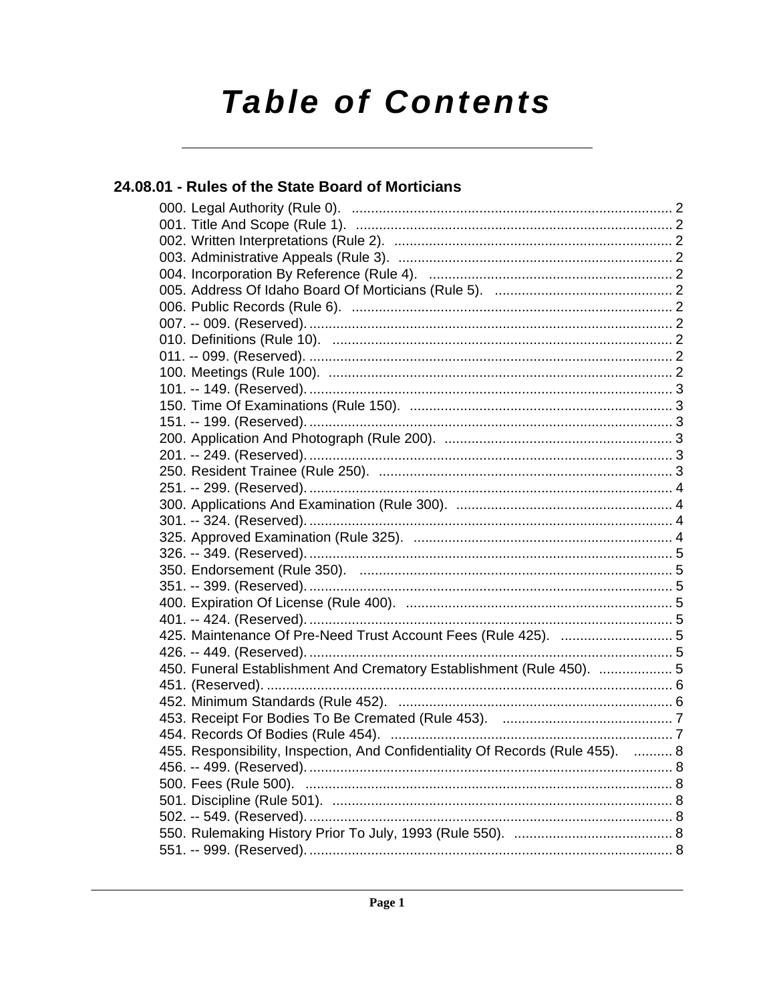# **Table of Contents**

### 24.08.01 - Rules of the State Board of Morticians

| 450. Funeral Establishment And Crematory Establishment (Rule 450).  5          |  |
|--------------------------------------------------------------------------------|--|
|                                                                                |  |
|                                                                                |  |
|                                                                                |  |
|                                                                                |  |
| 455. Responsibility, Inspection, And Confidentiality Of Records (Rule 455).  8 |  |
|                                                                                |  |
|                                                                                |  |
|                                                                                |  |
|                                                                                |  |
|                                                                                |  |
|                                                                                |  |
|                                                                                |  |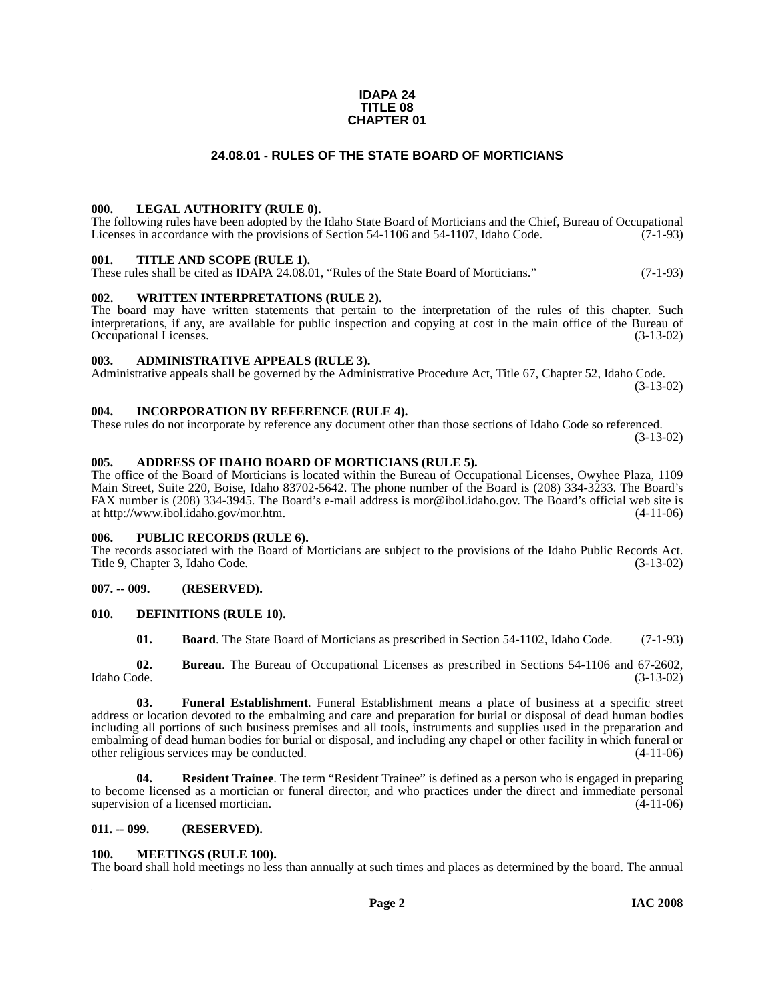#### **IDAPA 24 TITLE 08 CHAPTER 01**

#### **24.08.01 - RULES OF THE STATE BOARD OF MORTICIANS**

#### <span id="page-1-1"></span><span id="page-1-0"></span>**000. LEGAL AUTHORITY (RULE 0).**

The following rules have been adopted by the Idaho State Board of Morticians and the Chief, Bureau of Occupational Licenses in accordance with the provisions of Section 54-1106 and 54-1107, Idaho Code.  $(7-1-93)$ 

#### <span id="page-1-2"></span>**001. TITLE AND SCOPE (RULE 1).**

These rules shall be cited as IDAPA 24.08.01, "Rules of the State Board of Morticians." (7-1-93)

#### <span id="page-1-3"></span>**002. WRITTEN INTERPRETATIONS (RULE 2).**

The board may have written statements that pertain to the interpretation of the rules of this chapter. Such interpretations, if any, are available for public inspection and copying at cost in the main office of the Bureau of Occupational Licenses. (3-13-02) Occupational Licenses.

#### <span id="page-1-4"></span>**003. ADMINISTRATIVE APPEALS (RULE 3).**

Administrative appeals shall be governed by the Administrative Procedure Act, Title 67, Chapter 52, Idaho Code. (3-13-02)

#### <span id="page-1-5"></span>**004. INCORPORATION BY REFERENCE (RULE 4).**

These rules do not incorporate by reference any document other than those sections of Idaho Code so referenced. (3-13-02)

#### <span id="page-1-6"></span>**005. ADDRESS OF IDAHO BOARD OF MORTICIANS (RULE 5).**

[The office of the Board of Morticians is located within the Bureau of Occupational Licenses, Owyhee Plaza, 1109](mailto:mor@ibol.idaho.gov)  Main Street, Suite 220, Boise, Idaho 83702-5642. The phone number of the Board is (208) 334-3233. The Board's FAX number is (208) 334-3945. The Board's e-mail address is mor@ibol.idaho.gov. The Board's official web site is [at](mailto:mor@ibol.idaho.gov) [http://www.ibol.idaho.gov/mor.htm. \(4-11-06\)](http://www.ibol.idaho.gov/mor.htm)

#### <span id="page-1-7"></span>**006. PUBLIC RECORDS (RULE 6).**

The records associated with the Board of Morticians are subject to the provisions of the Idaho Public Records Act. Title 9, Chapter 3, Idaho Code. (3-13-02)

#### <span id="page-1-8"></span>**007. -- 009. (RESERVED).**

#### <span id="page-1-9"></span>**010. DEFINITIONS (RULE 10).**

<span id="page-1-12"></span>**01. Board**. The State Board of Morticians as prescribed in Section 54-1102, Idaho Code. (7-1-93)

**02.** Bureau. The Bureau of Occupational Licenses as prescribed in Sections 54-1106 and 67-2602, Idaho Code. (3-13-02) Idaho Code. (3-13-02)

**03. Funeral Establishment**. Funeral Establishment means a place of business at a specific street address or location devoted to the embalming and care and preparation for burial or disposal of dead human bodies including all portions of such business premises and all tools, instruments and supplies used in the preparation and embalming of dead human bodies for burial or disposal, and including any chapel or other facility in which funeral or other religious services may be conducted.

**04. Resident Trainee**. The term "Resident Trainee" is defined as a person who is engaged in preparing to become licensed as a mortician or funeral director, and who practices under the direct and immediate personal supervision of a licensed mortician. (4-11-06)

#### <span id="page-1-10"></span>**011. -- 099. (RESERVED).**

#### <span id="page-1-13"></span><span id="page-1-11"></span>**100. MEETINGS (RULE 100).**

The board shall hold meetings no less than annually at such times and places as determined by the board. The annual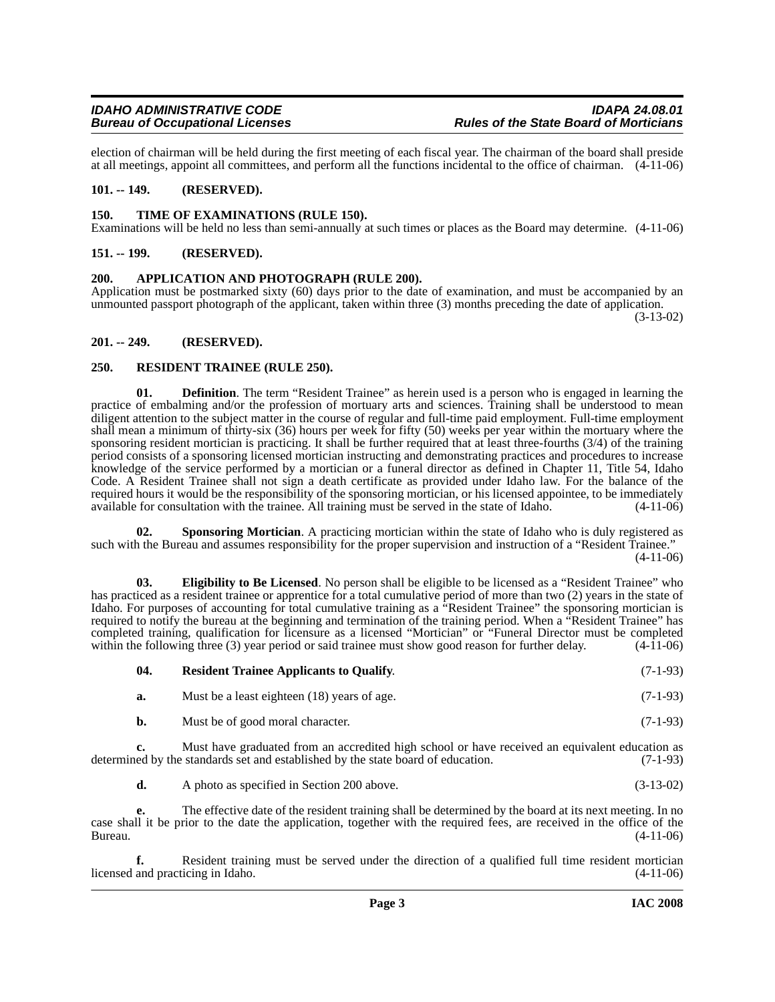election of chairman will be held during the first meeting of each fiscal year. The chairman of the board shall preside at all meetings, appoint all committees, and perform all the functions incidental to the office of chairman. (4-11-06)

#### <span id="page-2-0"></span>**101. -- 149. (RESERVED).**

#### <span id="page-2-11"></span><span id="page-2-1"></span>**150. TIME OF EXAMINATIONS (RULE 150).**

Examinations will be held no less than semi-annually at such times or places as the Board may determine. (4-11-06)

#### <span id="page-2-2"></span>**151. -- 199. (RESERVED).**

#### <span id="page-2-6"></span><span id="page-2-3"></span>**200. APPLICATION AND PHOTOGRAPH (RULE 200).**

Application must be postmarked sixty (60) days prior to the date of examination, and must be accompanied by an unmounted passport photograph of the applicant, taken within three (3) months preceding the date of application.

(3-13-02)

#### <span id="page-2-4"></span>**201. -- 249. (RESERVED).**

#### <span id="page-2-8"></span><span id="page-2-5"></span>**250. RESIDENT TRAINEE (RULE 250).**

**01. Definition**. The term "Resident Trainee" as herein used is a person who is engaged in learning the practice of embalming and/or the profession of mortuary arts and sciences. Training shall be understood to mean diligent attention to the subject matter in the course of regular and full-time paid employment. Full-time employment shall mean a minimum of thirty-six (36) hours per week for fifty (50) weeks per year within the mortuary where the sponsoring resident mortician is practicing. It shall be further required that at least three-fourths (3/4) of the training period consists of a sponsoring licensed mortician instructing and demonstrating practices and procedures to increase knowledge of the service performed by a mortician or a funeral director as defined in Chapter 11, Title 54, Idaho Code. A Resident Trainee shall not sign a death certificate as provided under Idaho law. For the balance of the required hours it would be the responsibility of the sponsoring mortician, or his licensed appointee, to be immediately available for consultation with the trainee. All training must be served in the state of Idaho. (4-11-06)

<span id="page-2-10"></span>**02.** Sponsoring Mortician. A practicing mortician within the state of Idaho who is duly registered as such with the Bureau and assumes responsibility for the proper supervision and instruction of a "Resident Trainee." (4-11-06)

<span id="page-2-7"></span>**03. Eligibility to Be Licensed**. No person shall be eligible to be licensed as a "Resident Trainee" who has practiced as a resident trainee or apprentice for a total cumulative period of more than two (2) years in the state of Idaho. For purposes of accounting for total cumulative training as a "Resident Trainee" the sponsoring mortician is required to notify the bureau at the beginning and termination of the training period. When a "Resident Trainee" has completed training, qualification for licensure as a licensed "Mortician" or "Funeral Director must be completed within the following three (3) year period or said trainee must show good reason for further delay. (4-11-06) within the following three (3) year period or said trainee must show good reason for further delay.

<span id="page-2-9"></span>

| 04. | <b>Resident Trainee Applicants to Qualify.</b> | $(7-1-93)$ |
|-----|------------------------------------------------|------------|
|-----|------------------------------------------------|------------|

| <b>a.</b> | Must be a least eighteen (18) years of age. | $(7-1-93)$ |
|-----------|---------------------------------------------|------------|
|-----------|---------------------------------------------|------------|

**b.** Must be of good moral character. (7-1-93)

**c.** Must have graduated from an accredited high school or have received an equivalent education as determined by the standards set and established by the state board of education. (7-1-93)

**d.** A photo as specified in Section 200 above. (3-13-02)

**e.** The effective date of the resident training shall be determined by the board at its next meeting. In no case shall it be prior to the date the application, together with the required fees, are received in the office of the Bureau. (4-11-06)

**f.** Resident training must be served under the direction of a qualified full time resident mortician licensed and practicing in Idaho. (4-11-06)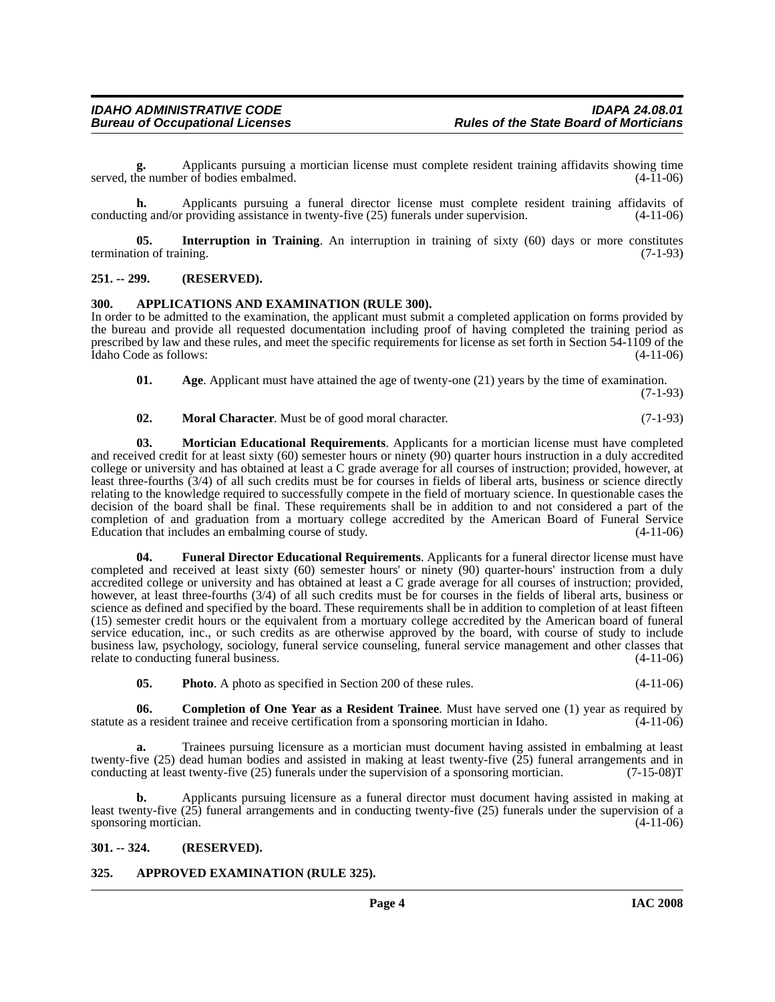**g.** Applicants pursuing a mortician license must complete resident training affidavits showing time served, the number of bodies embalmed. (4-11-06)

**h.** Applicants pursuing a funeral director license must complete resident training affidavits of conducting and/or providing assistance in twenty-five (25) funerals under supervision. (4-11-06)

<span id="page-3-9"></span>**05.** Interruption in Training. An interruption in training of sixty (60) days or more constitutes termination of training. (7-1-93)

#### <span id="page-3-0"></span>**251. -- 299. (RESERVED).**

#### <span id="page-3-5"></span><span id="page-3-1"></span>**300. APPLICATIONS AND EXAMINATION (RULE 300).**

In order to be admitted to the examination, the applicant must submit a completed application on forms provided by the bureau and provide all requested documentation including proof of having completed the training period as prescribed by law and these rules, and meet the specific requirements for license as set forth in Section 54-1109 of the Idaho Code as follows: (4-11-06) Idaho Code as follows:

<span id="page-3-4"></span>**01. Age**. Applicant must have attained the age of twenty-one (21) years by the time of examination. (7-1-93)

#### <span id="page-3-11"></span><span id="page-3-10"></span>**02. Moral Character**. Must be of good moral character. (7-1-93)

**03. Mortician Educational Requirements**. Applicants for a mortician license must have completed and received credit for at least sixty (60) semester hours or ninety (90) quarter hours instruction in a duly accredited college or university and has obtained at least a C grade average for all courses of instruction; provided, however, at least three-fourths (3/4) of all such credits must be for courses in fields of liberal arts, business or science directly relating to the knowledge required to successfully compete in the field of mortuary science. In questionable cases the decision of the board shall be final. These requirements shall be in addition to and not considered a part of the completion of and graduation from a mortuary college accredited by the American Board of Funeral Service Education that includes an embalming course of study.

<span id="page-3-8"></span>**04. Funeral Director Educational Requirements**. Applicants for a funeral director license must have completed and received at least sixty (60) semester hours' or ninety (90) quarter-hours' instruction from a duly accredited college or university and has obtained at least a C grade average for all courses of instruction; provided, however, at least three-fourths (3/4) of all such credits must be for courses in the fields of liberal arts, business or science as defined and specified by the board. These requirements shall be in addition to completion of at least fifteen (15) semester credit hours or the equivalent from a mortuary college accredited by the American board of funeral service education, inc., or such credits as are otherwise approved by the board, with course of study to include business law, psychology, sociology, funeral service counseling, funeral service management and other classes that relate to conducting funeral business. (4-11-06)

<span id="page-3-12"></span><span id="page-3-7"></span>**05. Photo**. A photo as specified in Section 200 of these rules. (4-11-06)

**06. Completion of One Year as a Resident Trainee**. Must have served one (1) year as required by a resident trainee and receive certification from a sponsoring mortician in Idaho. (4-11-06) statute as a resident trainee and receive certification from a sponsoring mortician in Idaho.

**a.** Trainees pursuing licensure as a mortician must document having assisted in embalming at least twenty-five (25) dead human bodies and assisted in making at least twenty-five ( $\overline{25}$ ) funeral arrangements and in conducting at least twenty-five (25) funerals under the supervision of a sponsoring mortician. (7-15-0 conducting at least twenty-five (25) funerals under the supervision of a sponsoring mortician.

**b.** Applicants pursuing licensure as a funeral director must document having assisted in making at least twenty-five (25) funeral arrangements and in conducting twenty-five (25) funerals under the supervision of a sponsoring mortician.  $(4-11-06)$ 

#### <span id="page-3-2"></span>**301. -- 324. (RESERVED).**

#### <span id="page-3-6"></span><span id="page-3-3"></span>**325. APPROVED EXAMINATION (RULE 325).**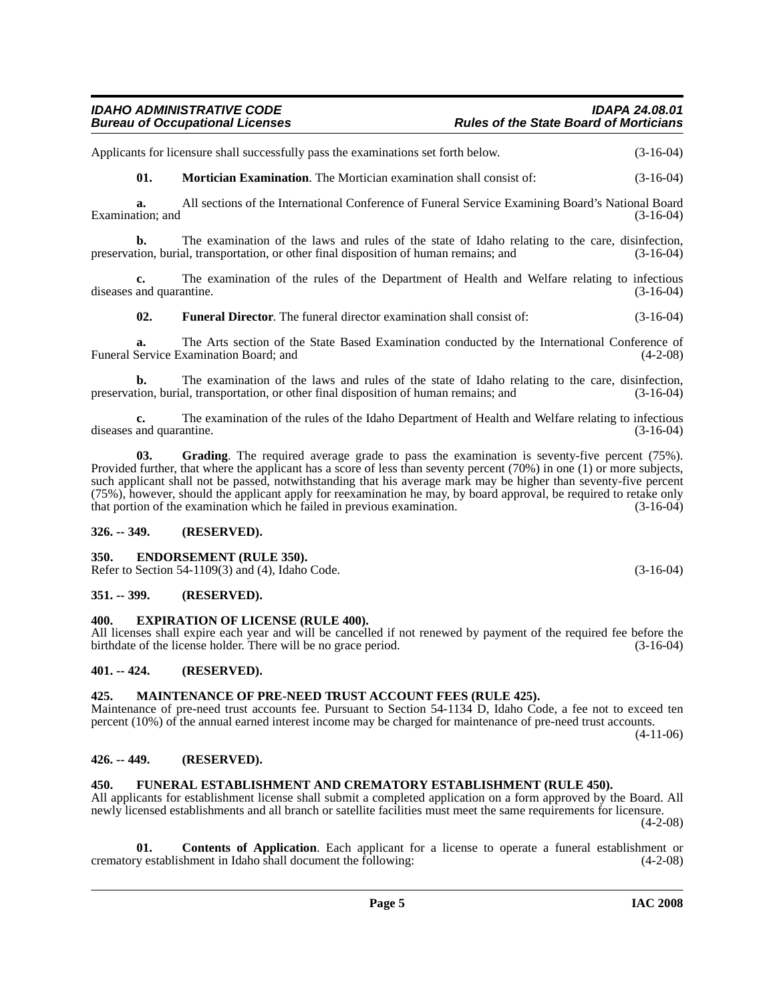#### *IDAHO ADMINISTRATIVE CODE IDAPA 24.08.01 Rules of the State Board of Morticians*

Applicants for licensure shall successfully pass the examinations set forth below.  $(3-16-04)$ 

<span id="page-4-15"></span>**01. Mortician Examination**. The Mortician examination shall consist of: (3-16-04)

**a.** All sections of the International Conference of Funeral Service Examining Board's National Board Examination; and (3-16-04) (3-16-04)

**b.** The examination of the laws and rules of the state of Idaho relating to the care, disinfection, preservation, burial, transportation, or other final disposition of human remains; and (3-16-04)

**c.** The examination of the rules of the Department of Health and Welfare relating to infectious diseases and quarantine. (3-16-04)

<span id="page-4-11"></span>**02. Funeral Director**. The funeral director examination shall consist of: (3-16-04)

**a.** The Arts section of the State Based Examination conducted by the International Conference of Service Examination Board; and (4-2-08) Funeral Service Examination Board; and

**b.** The examination of the laws and rules of the state of Idaho relating to the care, disinfection, tion, burial, transportation, or other final disposition of human remains; and (3-16-04) preservation, burial, transportation, or other final disposition of human remains; and

**c.** The examination of the rules of the Idaho Department of Health and Welfare relating to infectious and quarantine. (3-16-04) diseases and quarantine.

<span id="page-4-13"></span>**03. Grading**. The required average grade to pass the examination is seventy-five percent (75%). Provided further, that where the applicant has a score of less than seventy percent (70%) in one (1) or more subjects, such applicant shall not be passed, notwithstanding that his average mark may be higher than seventy-five percent (75%), however, should the applicant apply for reexamination he may, by board approval, be required to retake only that portion of the examination which he failed in previous examination. (3-16-04)

#### <span id="page-4-0"></span>**326. -- 349. (RESERVED).**

#### <span id="page-4-9"></span><span id="page-4-1"></span>**350. ENDORSEMENT (RULE 350).**

Refer to Section 54-1109(3) and (4), Idaho Code. (3-16-04)

#### <span id="page-4-2"></span>**351. -- 399. (RESERVED).**

#### <span id="page-4-10"></span><span id="page-4-3"></span>**400. EXPIRATION OF LICENSE (RULE 400).**

All licenses shall expire each year and will be cancelled if not renewed by payment of the required fee before the birthdate of the license holder. There will be no grace period. (3-16-04) birthdate of the license holder. There will be no grace period.

#### <span id="page-4-4"></span>**401. -- 424. (RESERVED).**

#### <span id="page-4-14"></span><span id="page-4-5"></span>**425. MAINTENANCE OF PRE-NEED TRUST ACCOUNT FEES (RULE 425).**

Maintenance of pre-need trust accounts fee. Pursuant to Section 54-1134 D, Idaho Code, a fee not to exceed ten percent (10%) of the annual earned interest income may be charged for maintenance of pre-need trust accounts.

 $(4-11-06)$ 

#### <span id="page-4-6"></span>**426. -- 449. (RESERVED).**

#### <span id="page-4-12"></span><span id="page-4-7"></span>**450. FUNERAL ESTABLISHMENT AND CREMATORY ESTABLISHMENT (RULE 450).**

All applicants for establishment license shall submit a completed application on a form approved by the Board. All newly licensed establishments and all branch or satellite facilities must meet the same requirements for licensure. (4-2-08)

<span id="page-4-8"></span>**01. Contents of Application**. Each applicant for a license to operate a funeral establishment or crematory establishment in Idaho shall document the following: (4-2-08)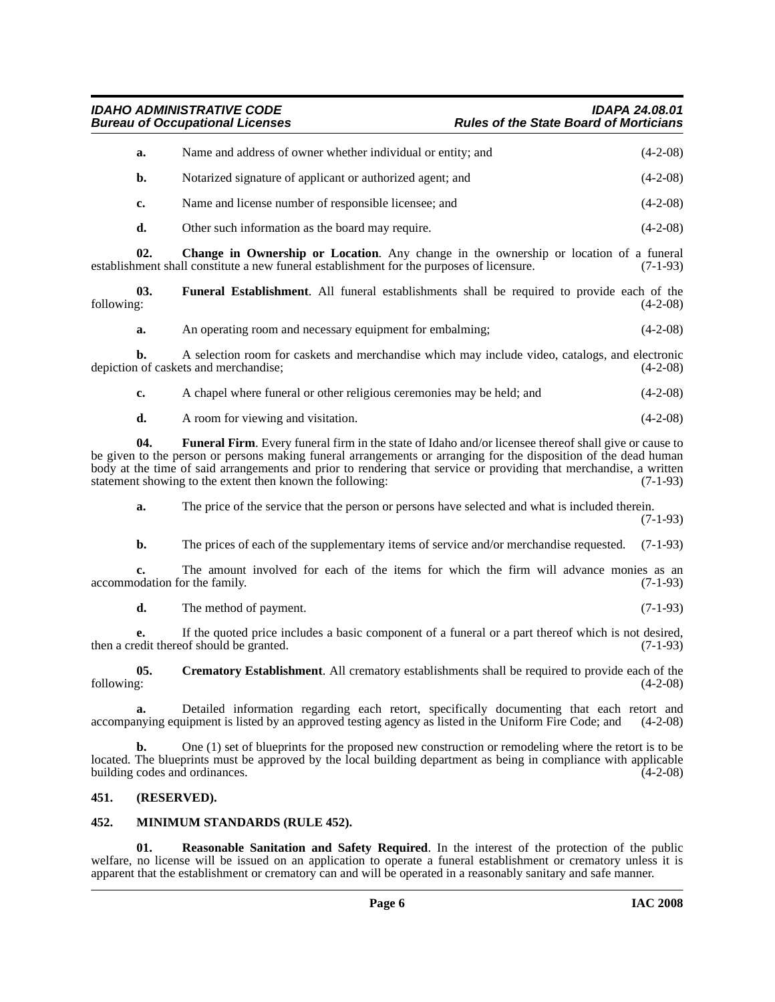*IDAHO ADMINISTRATIVE CODE IDAPA 24.08.01* **Rules of the State Board of Morticians** 

| Name and address of owner whether individual or entity; and | $(4-2-08)$ |
|-------------------------------------------------------------|------------|
| Notarized signature of applicant or authorized agent; and   | $(4-2-08)$ |
| Name and license number of responsible licensee; and        | $(4-2-08)$ |
| Other such information as the board may require.            | $(4-2-08)$ |
|                                                             |            |

<span id="page-5-2"></span>**02. Change in Ownership or Location**. Any change in the ownership or location of a funeral establishment shall constitute a new funeral establishment for the purposes of licensure. (7-1-93)

**03.** Funeral Establishment. All funeral establishments shall be required to provide each of the following: (4-2-08) following: (4-2-08)

<span id="page-5-5"></span>**a.** An operating room and necessary equipment for embalming;  $(4-2-08)$ 

**b.** A selection room for caskets and merchandise which may include video, catalogs, and electronic depiction of caskets and merchandise; (4-2-08)

**c.** A chapel where funeral or other religious ceremonies may be held; and (4-2-08)

<span id="page-5-6"></span>**d.** A room for viewing and visitation. (4-2-08)

**04.** Funeral Firm. Every funeral firm in the state of Idaho and/or licensee thereof shall give or cause to be given to the person or persons making funeral arrangements or arranging for the disposition of the dead human body at the time of said arrangements and prior to rendering that service or providing that merchandise, a written statement showing to the extent then known the following: (7-1-93)

**a.** The price of the service that the person or persons have selected and what is included therein.

(7-1-93)

**b.** The prices of each of the supplementary items of service and/or merchandise requested. (7-1-93)

**c.** The amount involved for each of the items for which the firm will advance monies as an odation for the family. (7-1-93) accommodation for the family.

<span id="page-5-3"></span>**d.** The method of payment. (7-1-93)

**e.** If the quoted price includes a basic component of a funeral or a part thereof which is not desired, edit thereof should be granted. (7-1-93) then a credit thereof should be granted.

**05.** Crematory Establishment. All crematory establishments shall be required to provide each of the following:  $(4-2-08)$ following: (4-2-08)

**a.** Detailed information regarding each retort, specifically documenting that each retort and nying equipment is listed by an approved testing agency as listed in the Uniform Fire Code; and (4-2-08) accompanying equipment is listed by an approved testing agency as listed in the Uniform Fire Code; and

**b.** One (1) set of blueprints for the proposed new construction or remodeling where the retort is to be located. The blueprints must be approved by the local building department as being in compliance with applicable building codes and ordinances. (4-2-08) building codes and ordinances.

#### <span id="page-5-0"></span>**451. (RESERVED).**

#### <span id="page-5-4"></span><span id="page-5-1"></span>**452. MINIMUM STANDARDS (RULE 452).**

<span id="page-5-7"></span>**Reasonable Sanitation and Safety Required**. In the interest of the protection of the public welfare, no license will be issued on an application to operate a funeral establishment or crematory unless it is apparent that the establishment or crematory can and will be operated in a reasonably sanitary and safe manner.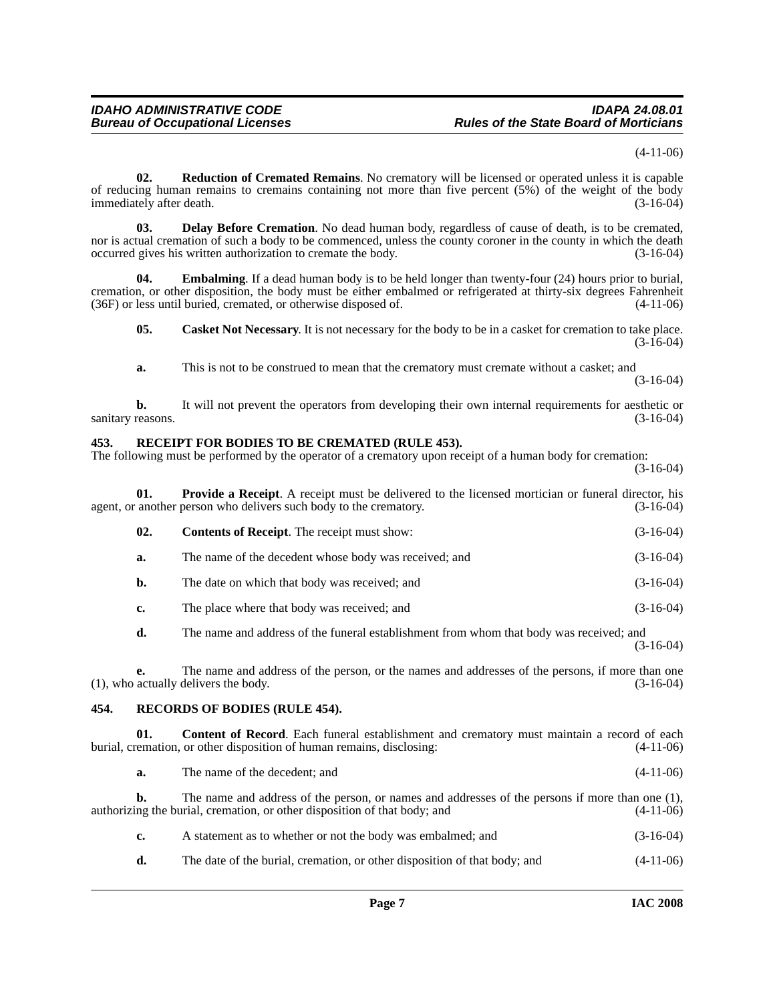(4-11-06)

<span id="page-6-9"></span>**02. Reduction of Cremated Remains**. No crematory will be licensed or operated unless it is capable of reducing human remains to cremains containing not more than five percent (5%) of the weight of the body immediately after death. (3-16-04)

<span id="page-6-4"></span>**03. Delay Before Cremation**. No dead human body, regardless of cause of death, is to be cremated, nor is actual cremation of such a body to be commenced, unless the county coroner in the county in which the death occurred gives his written authorization to cremate the body. (3-16-04)

**04. Embalming**. If a dead human body is to be held longer than twenty-four (24) hours prior to burial, cremation, or other disposition, the body must be either embalmed or refrigerated at thirty-six degrees Fahrenheit  $(36F)$  or less until buried, cremated, or otherwise disposed of.

<span id="page-6-5"></span><span id="page-6-2"></span>**05.** Casket Not Necessary. It is not necessary for the body to be in a casket for cremation to take place.  $(3-16-04)$ 

**a.** This is not to be construed to mean that the crematory must cremate without a casket; and (3-16-04)

**b.** It will not prevent the operators from developing their own internal requirements for aesthetic or reasons. (3-16-04) sanitary reasons.

#### <span id="page-6-7"></span><span id="page-6-0"></span>**453. RECEIPT FOR BODIES TO BE CREMATED (RULE 453).**

The following must be performed by the operator of a crematory upon receipt of a human body for cremation:

(3-16-04)

<span id="page-6-6"></span>

| 01.            | <b>Provide a Receipt.</b> A receipt must be delivered to the licensed mortician or funeral director, his<br>agent, or another person who delivers such body to the crematory. | $(3-16-04)$ |
|----------------|-------------------------------------------------------------------------------------------------------------------------------------------------------------------------------|-------------|
| 02.            | <b>Contents of Receipt.</b> The receipt must show:                                                                                                                            | $(3-16-04)$ |
| a.             | The name of the decedent whose body was received; and                                                                                                                         | $(3-16-04)$ |
| $\mathbf{b}$ . | The date on which that body was received; and                                                                                                                                 | $(3-16-04)$ |
| c.             | The place where that body was received; and                                                                                                                                   | $(3-16-04)$ |
| d.             | The name and address of the funeral establishment from whom that body was received; and                                                                                       | $(3-16-04)$ |

**e.** The name and address of the person, or the names and addresses of the persons, if more than one (1), who actually delivers the body. (3-16-04)

#### <span id="page-6-8"></span><span id="page-6-1"></span>**454. RECORDS OF BODIES (RULE 454).**

**01. Content of Record**. Each funeral establishment and crematory must maintain a record of each burial, cremation, or other disposition of human remains, disclosing: (4-11-06)

<span id="page-6-3"></span>**a.** The name of the decedent; and (4-11-06)

**b.** The name and address of the person, or names and addresses of the persons if more than one (1), authorizing the burial, cremation, or other disposition of that body; and  $(4-11-06)$ 

**d.** The date of the burial, cremation, or other disposition of that body; and  $(4-11-06)$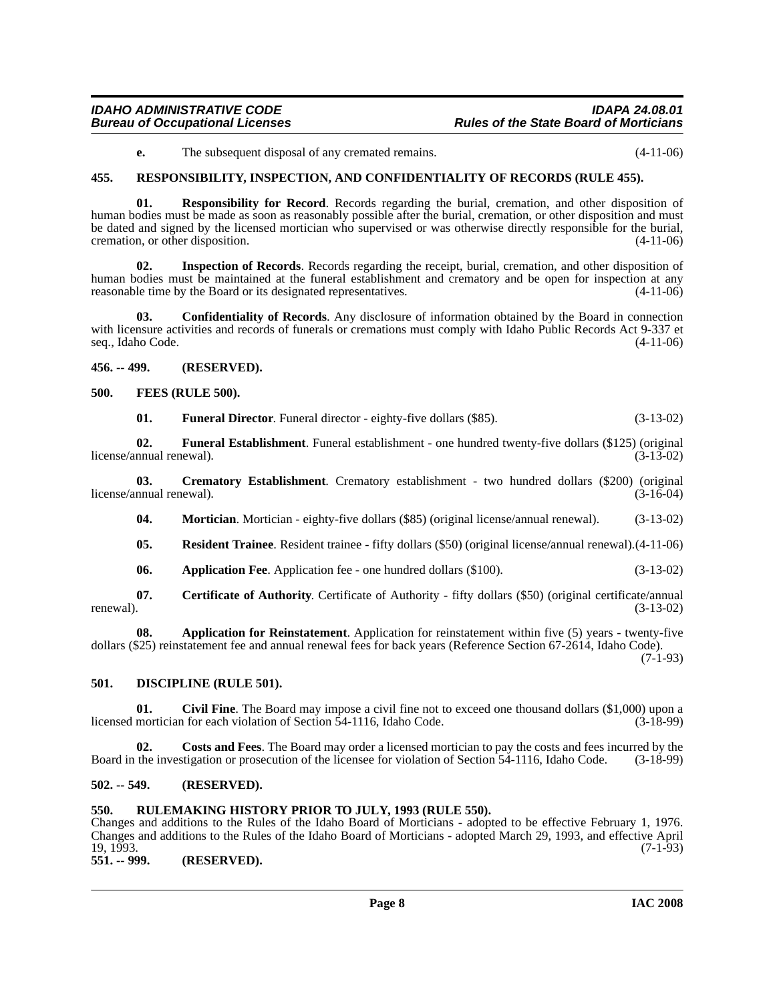### **Bureau of Occupational Licenses**

## *IDAHO ADMINISTRATIVE CODE IDAPA 24.08.01*

<span id="page-7-17"></span>**e.** The subsequent disposal of any cremated remains. (4-11-06)

#### <span id="page-7-0"></span>**455. RESPONSIBILITY, INSPECTION, AND CONFIDENTIALITY OF RECORDS (RULE 455).**

**01. Responsibility for Record**. Records regarding the burial, cremation, and other disposition of human bodies must be made as soon as reasonably possible after the burial, cremation, or other disposition and must be dated and signed by the licensed mortician who supervised or was otherwise directly responsible for the burial, cremation, or other disposition. (4-11-06)

**02. Inspection of Records**. Records regarding the receipt, burial, cremation, and other disposition of human bodies must be maintained at the funeral establishment and crematory and be open for inspection at any reasonable time by the Board or its designated representatives. (4-11-06)

**03. Confidentiality of Records**. Any disclosure of information obtained by the Board in connection with licensure activities and records of funerals or cremations must comply with Idaho Public Records Act 9-337 et seq., Idaho Code. (4-11-06)

<span id="page-7-1"></span>**456. -- 499. (RESERVED).**

#### <span id="page-7-2"></span>**500. FEES (RULE 500).**

<span id="page-7-13"></span><span id="page-7-12"></span><span id="page-7-11"></span>**01. Funeral Director**. Funeral director - eighty-five dollars (\$85). (3-13-02)

**02. Funeral Establishment**. Funeral establishment - one hundred twenty-five dollars (\$125) (original license/annual renewal). (3-13-02)

**03.** Crematory Establishment. Crematory establishment - two hundred dollars (\$200) (original nnual renewal). (3-16-04) license/annual renewal).

<span id="page-7-14"></span><span id="page-7-9"></span>**04. Mortician**. Mortician - eighty-five dollars (\$85) (original license/annual renewal). (3-13-02)

- <span id="page-7-16"></span>**05. Resident Trainee**. Resident trainee - fifty dollars (\$50) (original license/annual renewal).(4-11-06)
- <span id="page-7-15"></span><span id="page-7-7"></span>**06. Application Fee**. Application fee - one hundred dollars (\$100). (3-13-02)

**07. Certificate of Authority**. Certificate of Authority - fifty dollars (\$50) (original certificate/annual renewal).  $(3-13-02)$ renewal).  $(3-13-02)$ 

**08. Application for Reinstatement**. Application for reinstatement within five (5) years - twenty-five dollars (\$25) reinstatement fee and annual renewal fees for back years (Reference Section 67-2614, Idaho Code). (7-1-93)

#### <span id="page-7-10"></span><span id="page-7-3"></span>**501. DISCIPLINE (RULE 501).**

<span id="page-7-8"></span>**01.** Civil Fine. The Board may impose a civil fine not to exceed one thousand dollars (\$1,000) upon a mortician for each violation of Section 54-1116. Idaho Code. (3-18-99) licensed mortician for each violation of Section  $\bar{5}4$ -1116, Idaho Code.

**02. Costs and Fees**. The Board may order a licensed mortician to pay the costs and fees incurred by the Board in the investigation or prosecution of the licensee for violation of Section 54-1116, Idaho Code. (3-18-99)

#### <span id="page-7-4"></span>**502. -- 549. (RESERVED).**

#### <span id="page-7-5"></span>**550. RULEMAKING HISTORY PRIOR TO JULY, 1993 (RULE 550).**

Changes and additions to the Rules of the Idaho Board of Morticians - adopted to be effective February 1, 1976. Changes and additions to the Rules of the Idaho Board of Morticians - adopted March 29, 1993, and effective April  $19, 1993.$  (7-1-93)

<span id="page-7-6"></span>**551. -- 999. (RESERVED).**